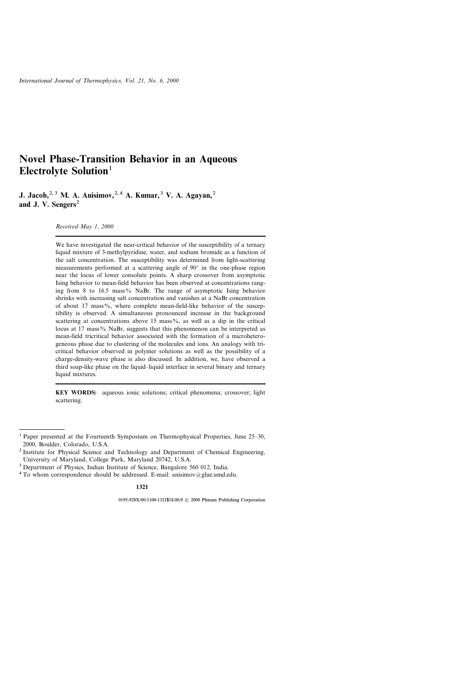# Novel Phase-Transition Behavior in an Aqueous Electrolyte Solution $<sup>1</sup>$ </sup>

J. Jacob,<sup>2, 3</sup> M. A. Anisimov,<sup>2, 4</sup> A. Kumar,<sup>3</sup> V. A. Agayan,<sup>2</sup> and J. V. Sengers<sup>2</sup>

Received May 1, 2000

We have investigated the near-critical behavior of the susceptibility of a ternary liquid mixture of 3-methylpyridine, water, and sodium bromide as a function of the salt concentration. The susceptibility was determined from light-scattering measurements performed at a scattering angle of  $90^{\circ}$  in the one-phase region near the locus of lower consolute points. A sharp crossover from asymptotic Ising behavior to mean-field behavior has been observed at concentrations ranging from 8 to 16.5 mass% NaBr. The range of asymptotic Ising behavior shrinks with increasing salt concentration and vanishes at a NaBr concentration of about 17 mass%, where complete mean-field-like behavior of the susceptibility is observed. A simultaneous pronounced increase in the background scattering at concentrations above 15 mass%, as well as a dip in the critical locus at 17 mass $\%$  NaBr, suggests that this phenomenon can be interpreted as mean-field tricritical behavior associated with the formation of a microheterogeneous phase due to clustering of the molecules and ions. An analogy with tricritical behavior observed in polymer solutions as well as the possibility of a charge-density-wave phase is also discussed. In addition, we, have observed a third soap-like phase on the liquid-liquid interface in several binary and ternary liquid mixtures.

KEY WORDS: aqueous ionic solutions; critical phenomena; crossover; light scattering.

1321

<sup>&</sup>lt;sup>1</sup> Paper presented at the Fourteenth Symposium on Thermophysical Properties, June  $25-30$ , 2000, Boulder, Colorado, U.S.A.

<sup>&</sup>lt;sup>2</sup> Institute for Physical Science and Technology and Department of Chemical Engineering, University of Maryland, College Park, Maryland 20742, U.S.A.

<sup>&</sup>lt;sup>3</sup> Department of Physics, Indian Institute of Science, Bangalore 560 012, India.

<sup>&</sup>lt;sup>4</sup> To whom correspondence should be addressed. E-mail: anisimov@glue.umd.edu.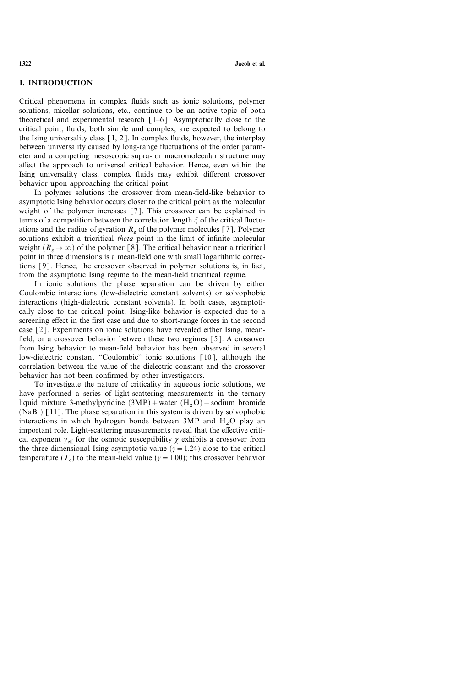# 1. INTRODUCTION

Critical phenomena in complex fluids such as ionic solutions, polymer solutions, micellar solutions, etc., continue to be an active topic of both theoretical and experimental research  $\lceil 1-6 \rceil$ . Asymptotically close to the critical point, fluids, both simple and complex, are expected to belong to the Ising universality class  $[1, 2]$ . In complex fluids, however, the interplay between universality caused by long-range fluctuations of the order parameter and a competing mesoscopic supra- or macromolecular structure may affect the approach to universal critical behavior. Hence, even within the Ising universality class, complex fluids may exhibit different crossover behavior upon approaching the critical point.

In polymer solutions the crossover from mean-field-like behavior to asymptotic Ising behavior occurs closer to the critical point as the molecular weight of the polymer increases [7]. This crossover can be explained in terms of a competition between the correlation length  $\xi$  of the critical fluctuations and the radius of gyration  $R_{\varphi}$  of the polymer molecules [7]. Polymer solutions exhibit a tricritical theta point in the limit of infinite molecular weight ( $R_g \rightarrow \infty$ ) of the polymer [8]. The critical behavior near a tricritical point in three dimensions is a mean-field one with small logarithmic corrections [9]. Hence, the crossover observed in polymer solutions is, in fact, from the asymptotic Ising regime to the mean-field tricritical regime.

In ionic solutions the phase separation can be driven by either Coulombic interactions (low-dielectric constant solvents) or solvophobic interactions (high-dielectric constant solvents). In both cases, asymptotically close to the critical point, Ising-like behavior is expected due to a screening effect in the first case and due to short-range forces in the second case [2]. Experiments on ionic solutions have revealed either Ising, meanfield, or a crossover behavior between these two regimes [5]. A crossover from Ising behavior to mean-field behavior has been observed in several low-dielectric constant "Coulombic" ionic solutions [10], although the correlation between the value of the dielectric constant and the crossover behavior has not been confirmed by other investigators.

To investigate the nature of criticality in aqueous ionic solutions, we have performed a series of light-scattering measurements in the ternary liquid mixture 3-methylpyridine  $(3MP)$  + water  $(H<sub>2</sub>O)$  + sodium bromide (NaBr) [11]. The phase separation in this system is driven by solvophobic interactions in which hydrogen bonds between 3MP and  $H_2O$  play an important role. Light-scattering measurements reveal that the effective critical exponent  $\gamma_{\text{eff}}$  for the osmotic susceptibility  $\gamma$  exhibits a crossover from the three-dimensional Ising asymptotic value ( $\gamma = 1.24$ ) close to the critical temperature  $(T_c)$  to the mean-field value  $(\gamma = 1.00)$ ; this crossover behavior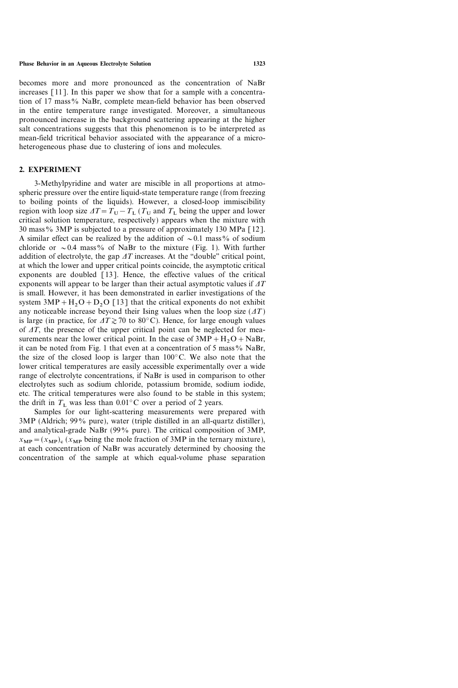becomes more and more pronounced as the concentration of NaBr increases [11]. In this paper we show that for a sample with a concentration of 17 mass% NaBr, complete mean-field behavior has been observed in the entire temperature range investigated. Moreover, a simultaneous pronounced increase in the background scattering appearing at the higher salt concentrations suggests that this phenomenon is to be interpreted as mean-field tricritical behavior associated with the appearance of a microheterogeneous phase due to clustering of ions and molecules.

# 2. EXPERIMENT

3-Methylpyridine and water are miscible in all proportions at atmospheric pressure over the entire liquid-state temperature range (from freezing to boiling points of the liquids). However, a closed-loop immiscibility region with loop size  $\Delta T=T_{\text{U}}-T_{\text{L}}(T_{\text{U}}$  and  $T_{\text{L}}$  being the upper and lower critical solution temperature, respectively) appears when the mixture with 30 mass% 3MP is subjected to a pressure of approximately 130 MPa [12]. A similar effect can be realized by the addition of  $\sim 0.1$  mass% of sodium chloride or  $\sim 0.4$  mass% of NaBr to the mixture (Fig. 1). With further addition of electrolyte, the gap  $\Delta T$  increases. At the "double" critical point, at which the lower and upper critical points coincide, the asymptotic critical exponents are doubled [13]. Hence, the effective values of the critical exponents will appear to be larger than their actual asymptotic values if  $\Delta T$ is small. However, it has been demonstrated in earlier investigations of the system  $3MP + H_2O + D_2O$  [13] that the critical exponents do not exhibit any noticeable increase beyond their Ising values when the loop size  $(1T)$ is large (in practice, for  $\Delta T \gtrsim 70$  to 80°C). Hence, for large enough values of  $\Delta T$ , the presence of the upper critical point can be neglected for measurements near the lower critical point. In the case of  $3MP + H_2O + NaBr$ , it can be noted from Fig. 1 that even at a concentration of 5 mass $\%$  NaBr, the size of the closed loop is larger than  $100^{\circ}$ C. We also note that the lower critical temperatures are easily accessible experimentally over a wide range of electrolyte concentrations, if NaBr is used in comparison to other electrolytes such as sodium chloride, potassium bromide, sodium iodide, etc. The critical temperatures were also found to be stable in this system; the drift in  $T_{\text{L}}$  was less than 0.01°C over a period of 2 years.

Samples for our light-scattering measurements were prepared with  $3MP$  (Aldrich; 99% pure), water (triple distilled in an all-quartz distiller), and analytical-grade NaBr  $(99\%$  pure). The critical composition of 3MP,  $x_{MP} = (x_{MP})_c$  ( $x_{MP}$  being the mole fraction of 3MP in the ternary mixture), at each concentration of NaBr was accurately determined by choosing the concentration of the sample at which equal-volume phase separation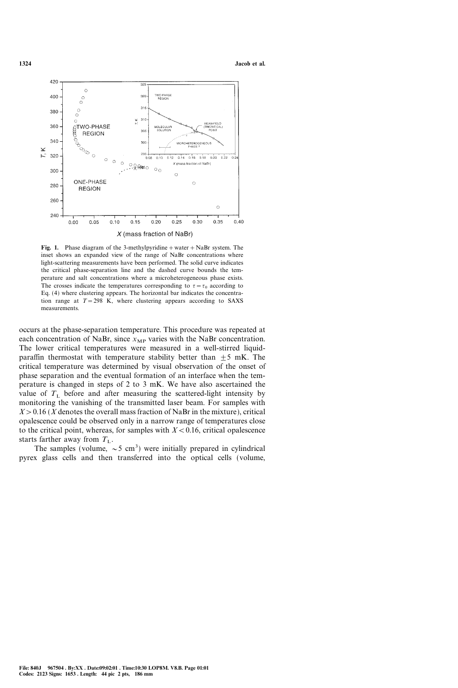

Fig. 1. Phase diagram of the 3-methylpyridine + water + NaBr system. The inset shows an expanded view of the range of NaBr concentrations where light-scattering measurements have been performed. The solid curve indicates the critical phase-separation line and the dashed curve bounds the temperature and salt concentrations where a microheterogeneous phase exists. The crosses indicate the temperatures corresponding to  $\tau = \tau_0$  according to Eq. (4) where clustering appears. The horizontal bar indicates the concentration range at  $T=298$  K, where clustering appears according to SAXS measurements.

occurs at the phase-separation temperature. This procedure was repeated at each concentration of NaBr, since  $x_{MP}$  varies with the NaBr concentration. The lower critical temperatures were measured in a well-stirred liquidparaffin thermostat with temperature stability better than  $\pm 5$  mK. The critical temperature was determined by visual observation of the onset of phase separation and the eventual formation of an interface when the temperature is changed in steps of 2 to 3 mK. We have also ascertained the value of  $T<sub>L</sub>$  before and after measuring the scattered-light intensity by monitoring the vanishing of the transmitted laser beam. For samples with  $X > 0.16$  (X denotes the overall mass fraction of NaBr in the mixture), critical opalescence could be observed only in a narrow range of temperatures close to the critical point, whereas, for samples with  $X < 0.16$ , critical opalescence starts farther away from  $T_{\text{L}}$ .

The samples (volume,  $\sim$  5 cm<sup>3</sup>) were initially prepared in cylindrical pyrex glass cells and then transferred into the optical cells (volume,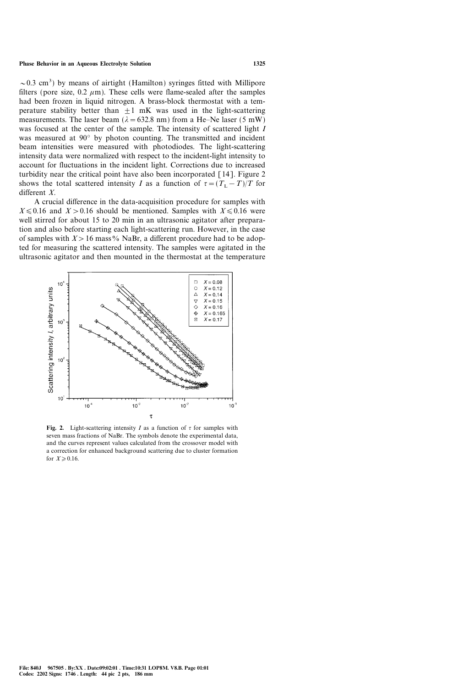$\sim$ 0.3 cm<sup>3</sup>) by means of airtight (Hamilton) syringes fitted with Millipore filters (pore size, 0.2  $\mu$ m). These cells were flame-sealed after the samples had been frozen in liquid nitrogen. A brass-block thermostat with a temperature stability better than  $+1$  mK was used in the light-scattering measurements. The laser beam ( $\lambda$  = 632.8 nm) from a He–Ne laser (5 mW) was focused at the center of the sample. The intensity of scattered light I was measured at  $90^{\circ}$  by photon counting. The transmitted and incident beam intensities were measured with photodiodes. The light-scattering intensity data were normalized with respect to the incident-light intensity to account for fluctuations in the incident light. Corrections due to increased turbidity near the critical point have also been incorporated [14]. Figure 2 shows the total scattered intensity I as a function of  $\tau = (T_L - T)/T$  for different X.

A crucial difference in the data-acquisition procedure for samples with  $X \le 0.16$  and  $X > 0.16$  should be mentioned. Samples with  $X \le 0.16$  were well stirred for about 15 to 20 min in an ultrasonic agitator after preparation and also before starting each light-scattering run. However, in the case of samples with  $X>16$  mass% NaBr, a different procedure had to be adopted for measuring the scattered intensity. The samples were agitated in the ultrasonic agitator and then mounted in the thermostat at the temperature



Fig. 2. Light-scattering intensity I as a function of  $\tau$  for samples with seven mass fractions of NaBr. The symbols denote the experimental data, and the curves represent values calculated from the crossover model with a correction for enhanced background scattering due to cluster formation for  $X \geqslant 0.16$ .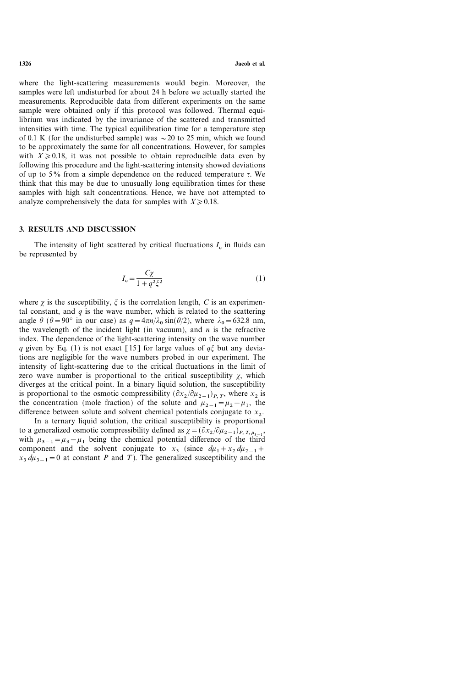where the light-scattering measurements would begin. Moreover, the samples were left undisturbed for about 24 h before we actually started the measurements. Reproducible data from different experiments on the same sample were obtained only if this protocol was followed. Thermal equilibrium was indicated by the invariance of the scattered and transmitted intensities with time. The typical equilibration time for a temperature step of 0.1 K (for the undisturbed sample) was  $\sim$  20 to 25 min, which we found to be approximately the same for all concentrations. However, for samples with  $X \geq 0.18$ , it was not possible to obtain reproducible data even by following this procedure and the light-scattering intensity showed deviations of up to 5% from a simple dependence on the reduced temperature  $\tau$ . We think that this may be due to unusually long equilibration times for these samples with high salt concentrations. Hence, we have not attempted to analyze comprehensively the data for samples with  $X \geq 0.18$ .

# 3. RESULTS AND DISCUSSION

The intensity of light scattered by critical fluctuations  $I_c$  in fluids can be represented by

$$
I_{\rm c} = \frac{C\chi}{1 + q^2 \xi^2} \tag{1}
$$

where  $\chi$  is the susceptibility,  $\xi$  is the correlation length, C is an experimental constant, and  $q$  is the wave number, which is related to the scattering angle  $\theta$  ( $\theta = 90^{\circ}$  in our case) as  $q = 4\pi n/\lambda_0 \sin(\theta/2)$ , where  $\lambda_0 = 632.8$  nm, the wavelength of the incident light (in vacuum), and  $n$  is the refractive index. The dependence of the light-scattering intensity on the wave number q given by Eq. (1) is not exact [15] for large values of  $q\xi$  but any deviations are negligible for the wave numbers probed in our experiment. The intensity of light-scattering due to the critical fluctuations in the limit of zero wave number is proportional to the critical susceptibility  $\gamma$ , which diverges at the critical point. In a binary liquid solution, the susceptibility is proportional to the osmotic compressibility  $(\partial x_2/\partial \mu_{2-1})_{P,T}$ , where  $x_2$  is the concentration (mole fraction) of the solute and  $\mu_{2-1}=\mu_2-\mu_1$ , the difference between solute and solvent chemical potentials conjugate to  $x<sub>2</sub>$ .

In a ternary liquid solution, the critical susceptibility is proportional to a generalized osmotic compressibility defined as  $\chi = (\partial x_2 / \partial \mu_{2-1})_{P, T, \mu_2}$ , with  $\mu_{3-1}=\mu_3-\mu_1$  being the chemical potential difference of the third component and the solvent conjugate to  $x_3$  (since  $d\mu_1 + x_2 d\mu_{2-1}$ +  $x_3 du_{3-1} = 0$  at constant P and T). The generalized susceptibility and the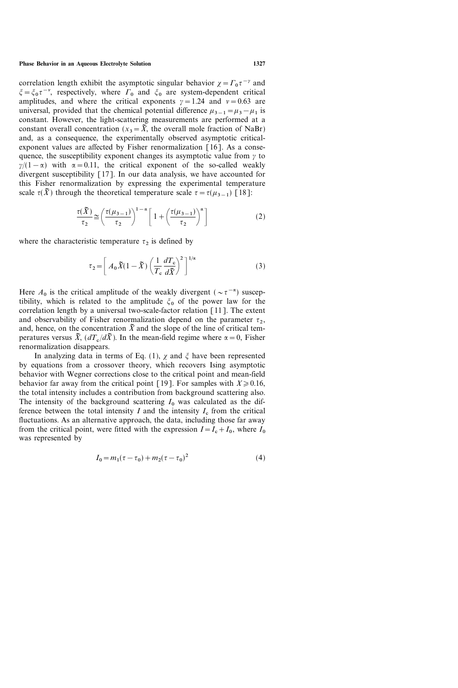#### Phase Behavior in an Aqueous Electrolyte Solution 1327

correlation length exhibit the asymptotic singular behavior  $\chi = \Gamma_0 \tau^{-\gamma}$  and  $\zeta = \zeta_0 \tau^{-\nu}$ , respectively, where  $\Gamma_0$  and  $\zeta_0$  are system-dependent critical amplitudes, and where the critical exponents  $y = 1.24$  and  $y = 0.63$  are universal, provided that the chemical potential difference  $\mu_{3-1}=\mu_3-\mu_1$  is constant. However, the light-scattering measurements are performed at a constant overall concentration ( $x_3 = \tilde{X}$ , the overall mole fraction of NaBr) and, as a consequence, the experimentally observed asymptotic criticalexponent values are affected by Fisher renormalization [16]. As a consequence, the susceptibility exponent changes its asymptotic value from  $\gamma$  to  $\frac{y}{1-\alpha}$  with  $\alpha = 0.11$ , the critical exponent of the so-called weakly divergent susceptibility [17]. In our data analysis, we have accounted for this Fisher renormalization by expressing the experimental temperature scale  ${\tau}(\tilde{X})$  through the theoretical temperature scale  ${\tau}={\tau}(\mu_{3-1})$  [18]:

$$
\frac{\tau(\tilde{X})}{\tau_2} \cong \left(\frac{\tau(\mu_{3-1})}{\tau_2}\right)^{1-\alpha} \left[1 + \left(\frac{\tau(\mu_{3-1})}{\tau_2}\right)^{\alpha}\right]
$$
(2)

where the characteristic temperature  $\tau_2$  is defined by

$$
\tau_2 = \left[ A_0 \tilde{X} (1 - \tilde{X}) \left( \frac{1}{T_c} \frac{dT_c}{d\tilde{X}} \right)^2 \right]^{1/\alpha} \tag{3}
$$

Here  $A_0$  is the critical amplitude of the weakly divergent ( $\sim \tau^{-\alpha}$ ) susceptibility, which is related to the amplitude  $\xi_0$  of the power law for the correlation length by a universal two-scale-factor relation [11]. The extent and observability of Fisher renormalization depend on the parameter  ${\tau_2}$ , and, hence, on the concentration  $\tilde{X}$  and the slope of the line of critical temperatures versus  $\tilde{X}$ ,  $(dT_c/d\tilde{X})$ . In the mean-field regime where  $\alpha = 0$ , Fisher renormalization disappears.

In analyzing data in terms of Eq. (1),  $\chi$  and  $\xi$  have been represented by equations from a crossover theory, which recovers Ising asymptotic behavior with Wegner corrections close to the critical point and mean-field behavior far away from the critical point [19]. For samples with  $X \geq 0.16$ , the total intensity includes a contribution from background scattering also. The intensity of the background scattering  $I_0$  was calculated as the difference between the total intensity  $I$  and the intensity  $I_c$  from the critical fluctuations. As an alternative approach, the data, including those far away from the critical point, were fitted with the expression  $I = I_c + I_0$ , where  $I_0$ was represented by

$$
I_0 = m_1(\tau - \tau_0) + m_2(\tau - \tau_0)^2 \tag{4}
$$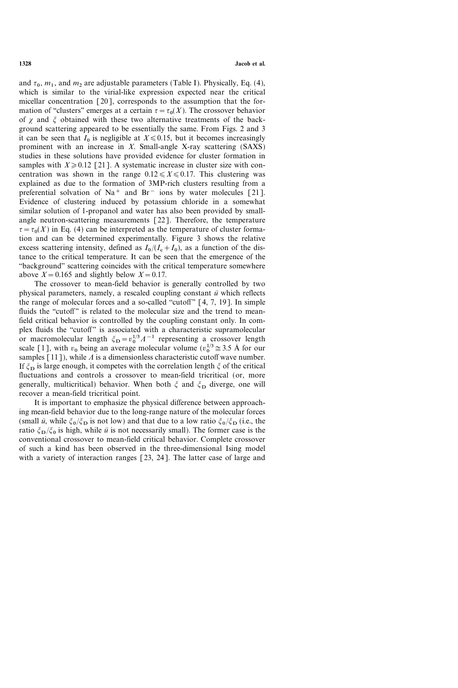and  ${\tau}_{0}$ ,  $m_1$ , and  $m_2$  are adjustable parameters (Table I). Physically, Eq. (4), which is similar to the virial-like expression expected near the critical micellar concentration [20], corresponds to the assumption that the formation of "clusters" emerges at a certain  ${\tau = \tau_0(X)}$ . The crossover behavior of  $\gamma$  and  $\xi$  obtained with these two alternative treatments of the background scattering appeared to be essentially the same. From Figs. 2 and 3 it can be seen that  $I_0$  is negligible at  $X \le 0.15$ , but it becomes increasingly prominent with an increase in  $X$ . Small-angle X-ray scattering  $(SAXS)$ studies in these solutions have provided evidence for cluster formation in samples with  $X \ge 0.12$  [21]. A systematic increase in cluster size with concentration was shown in the range  $0.12 \le X \le 0.17$ . This clustering was explained as due to the formation of 3MP-rich clusters resulting from a preferential solvation of Na<sup>+</sup> and Br<sup>-</sup> ions by water molecules [21]. Evidence of clustering induced by potassium chloride in a somewhat similar solution of 1-propanol and water has also been provided by smallangle neutron-scattering measurements [22]. Therefore, the temperature  ${\tau}={\tau}_0(X)$  in Eq. (4) can be interpreted as the temperature of cluster formation and can be determined experimentally. Figure 3 shows the relative excess scattering intensity, defined as  $I_0/(I_c+I_0)$ , as a function of the distance to the critical temperature. It can be seen that the emergence of the ``background'' scattering coincides with the critical temperature somewhere above  $X = 0.165$  and slightly below  $X = 0.17$ .

The crossover to mean-field behavior is generally controlled by two physical parameters, namely, a rescaled coupling constant  $\bar{u}$  which reflects the range of molecular forces and a so-called "cutoff"  $[4, 7, 19]$ . In simple fluids the "cutoff" is related to the molecular size and the trend to meanfield critical behavior is controlled by the coupling constant only. In complex fluids the "cutoff" is associated with a characteristic supramolecular or macromolecular length  $\zeta_D = v_0^{1/3} A^{-1}$  representing a crossover length scale [1], with  $v_0$  being an average molecular volume  $(v_0^{1/3} \approx 3.5 \text{ Å}$  for our samples  $\lceil 11 \rceil$ ), while  $\Lambda$  is a dimensionless characteristic cutoff wave number. If  $\zeta_{\text{D}}$  is large enough, it competes with the correlation length  $\zeta$  of the critical fluctuations and controls a crossover to mean-field tricritical (or, more generally, multicritical) behavior. When both  $\zeta$  and  $\zeta_D$  diverge, one will recover a mean-field tricritical point.

It is important to emphasize the physical difference between approaching mean-field behavior due to the long-range nature of the molecular forces (small  $\bar{u}$ , while  $\zeta_0/\zeta_D$  is not low) and that due to a low ratio  $\zeta_0/\zeta_D$  (i.e., the ratio  $\zeta_{\mathbf{D}}/\zeta_0$  is high, while  $\bar{u}$  is not necessarily small). The former case is the conventional crossover to mean-field critical behavior. Complete crossover of such a kind has been observed in the three-dimensional Ising model with a variety of interaction ranges [23, 24]. The latter case of large and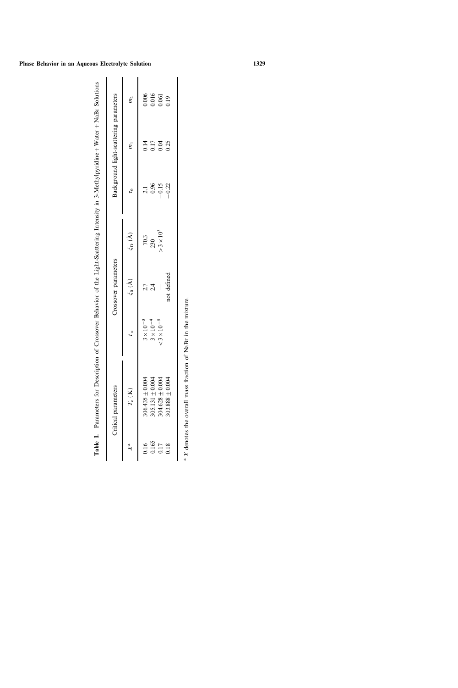|       | Table L. Parameters for Description of Crossover Behavior of the Light-Scattering Intensity in 3-Methylpyridine + Water + NaBr Solutions<br>Critical parameters |                                          | Crossover parameters |                         |                  | Background light-scattering parameters |                                                        |
|-------|-----------------------------------------------------------------------------------------------------------------------------------------------------------------|------------------------------------------|----------------------|-------------------------|------------------|----------------------------------------|--------------------------------------------------------|
|       |                                                                                                                                                                 |                                          |                      |                         |                  |                                        |                                                        |
|       | $T_{\rm c}~({\rm K})$                                                                                                                                           |                                          | $\xi_0(A)$           | $\zeta_{\mathbf{D}}(A)$ | $\mathfrak{c}_1$ | $\tilde{m}$                            | m <sub>2</sub>                                         |
| 0.16  | $306.435 \pm 0.004$                                                                                                                                             |                                          |                      | 70.3                    |                  |                                        |                                                        |
| 0.165 | 305.131 $\pm$ 0.004                                                                                                                                             | $3 \times 10^{-3}$<br>$3 \times 10^{-4}$ |                      | 230                     | 0.96             | 0.17                                   | $\begin{array}{c} 0.006 \\ 0.016 \\ 0.061 \end{array}$ |
| 0.17  | $304.628 \pm 0.004$                                                                                                                                             | $< 3 \times 10^{-5}$                     |                      | $>3\times10^3$          | $-0.15$          | 0.04                                   |                                                        |
| 0.18  | $303.888 \pm 0.004$                                                                                                                                             |                                          | not defined          |                         | $-0.22$          | 0.25                                   | 0.19                                                   |
|       | <sup>a</sup> X denotes the overall mass fraction of NaBr in the mixture.                                                                                        |                                          |                      |                         |                  |                                        |                                                        |
|       |                                                                                                                                                                 |                                          |                      |                         |                  |                                        |                                                        |

| ļ<br>$\frac{1}{2}$                                   | l      |
|------------------------------------------------------|--------|
|                                                      |        |
|                                                      |        |
|                                                      |        |
| <b><i>Bit Cater Cater</i></b>                        | í<br>ı |
| ana co con                                           | l      |
|                                                      | C      |
|                                                      | å<br>i |
| ׅ֧֚֚֚֚֚֚֚֚֚֚֚֚֚֚֚֚֚֚֚֚֚֚֚֚֚֡֡֡֡֡֡֡֡֓֡֡֡֡֡֬<br>l<br>l | í      |
|                                                      | ֚֚֬֕   |
|                                                      |        |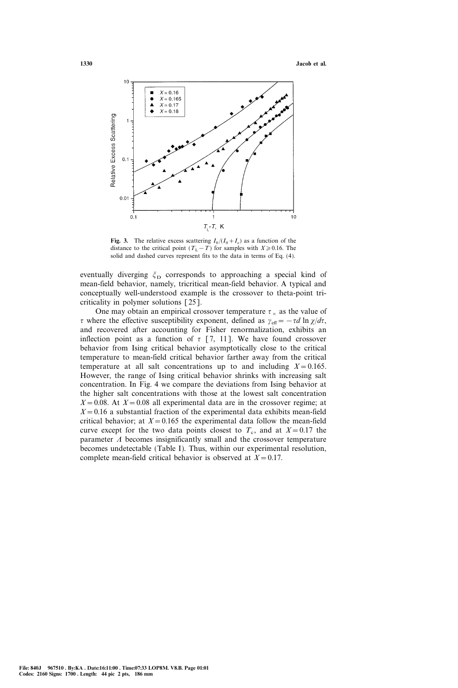

Fig. 3. The relative excess scattering  $I_0/(I_0+I_c)$  as a function of the distance to the critical point  $(T<sub>L</sub> - T)$  for samples with  $X \ge 0.16$ . The solid and dashed curves represent fits to the data in terms of Eq. (4).

eventually diverging  $\zeta_D$  corresponds to approaching a special kind of mean-field behavior, namely, tricritical mean-field behavior. A typical and conceptually well-understood example is the crossover to theta-point tricriticality in polymer solutions [25].

One may obtain an empirical crossover temperature  $\tau_{\times}$  as the value of  $\tau$  where the effective susceptibility exponent, defined as  $\gamma_{\text{eff}} = -\tau d \ln \chi/d\tau$ , and recovered after accounting for Fisher renormalization, exhibits an inflection point as a function of  $\tau$  [7, 11]. We have found crossover behavior from Ising critical behavior asymptotically close to the critical temperature to mean-field critical behavior farther away from the critical temperature at all salt concentrations up to and including  $X=0.165$ . However, the range of Ising critical behavior shrinks with increasing salt concentration. In Fig. 4 we compare the deviations from Ising behavior at the higher salt concentrations with those at the lowest salt concentration  $X=0.08$ . At  $X=0.08$  all experimental data are in the crossover regime; at  $X=0.16$  a substantial fraction of the experimental data exhibits mean-field critical behavior; at  $X = 0.165$  the experimental data follow the mean-field curve except for the two data points closest to  $T_c$ , and at  $X=0.17$  the parameter  $\Lambda$  becomes insignificantly small and the crossover temperature becomes undetectable (Table I). Thus, within our experimental resolution, complete mean-field critical behavior is observed at  $X=0.17$ .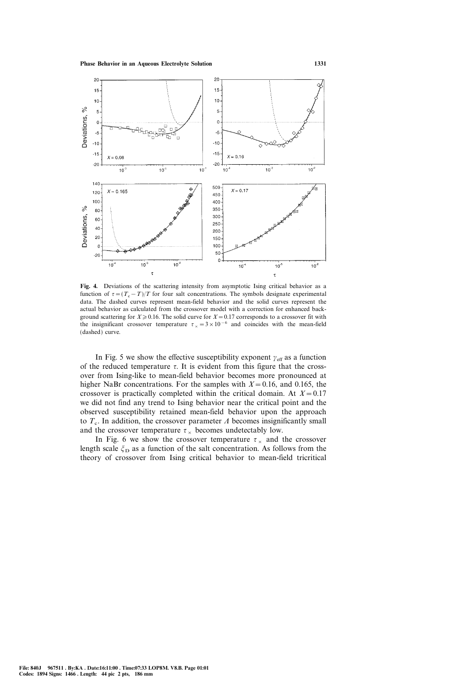

Fig. 4. Deviations of the scattering intensity from asymptotic Ising critical behavior as a function of  $\tau = (T_c - T)/T$  for four salt concentrations. The symbols designate experimental data. The dashed curves represent mean-field behavior and the solid curves represent the actual behavior as calculated from the crossover model with a correction for enhanced background scattering for  $X \ge 0.16$ . The solid curve for  $X=0.17$  corresponds to a crossover fit with the insignificant crossover temperature  $\tau_{\times} = 3 \times 10^{-6}$  and coincides with the mean-field (dashed) curve.

In Fig. 5 we show the effective susceptibility exponent  $\gamma_{\text{eff}}$  as a function of the reduced temperature  $\tau$ . It is evident from this figure that the crossover from Ising-like to mean-field behavior becomes more pronounced at higher NaBr concentrations. For the samples with  $X=0.16$ , and 0.165, the crossover is practically completed within the critical domain. At  $X=0.17$ we did not find any trend to Ising behavior near the critical point and the observed susceptibility retained mean-field behavior upon the approach to  $T_c$ . In addition, the crossover parameter  $\Lambda$  becomes insignificantly small and the crossover temperature  $\tau_{\gamma}$  becomes undetectably low.

In Fig. 6 we show the crossover temperature  $\tau_{\gamma}$  and the crossover length scale  $\zeta_D$  as a function of the salt concentration. As follows from the theory of crossover from Ising critical behavior to mean-field tricritical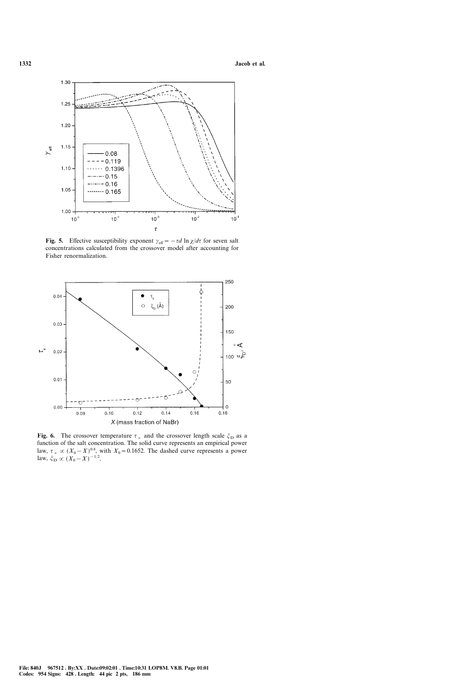

Fig. 5. Effective susceptibility exponent  $\gamma_{\text{eff}} = -\tau d \ln \chi/d\tau$  for seven salt concentrations calculated from the crossover model after accounting for Fisher renormalization.



Fig. 6. The crossover temperature  $\tau_{\times}$  and the crossover length scale  $\zeta_{\text{D}}$  as a function of the salt concentration. The solid curve represents an empirical power law,  $\tau \times (X_0 - X)^{0.8}$ , with  $X_0 = 0.1652$ . The dashed curve represents a power law,  $\xi_{\rm D} \propto (X_0 - X)^{-1/2}$ .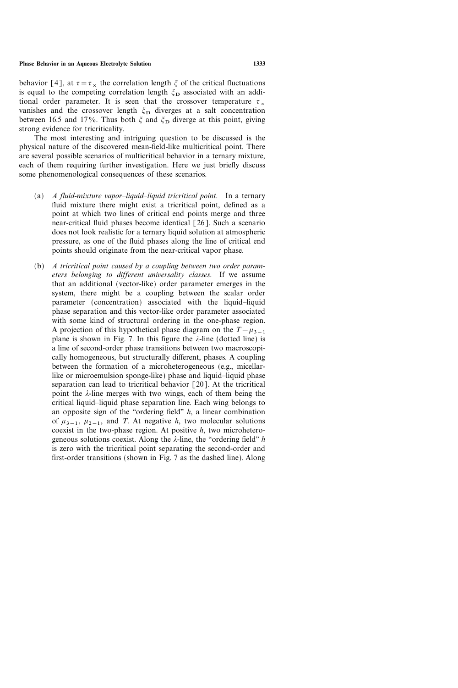behavior [4], at  $\tau = \tau_{\times}$  the correlation length  $\xi$  of the critical fluctuations is equal to the competing correlation length  $\zeta_D$  associated with an additional order parameter. It is seen that the crossover temperature  $\tau_{\times}$ vanishes and the crossover length  $\zeta_D$  diverges at a salt concentration between 16.5 and 17%. Thus both  $\zeta$  and  $\zeta_D$  diverge at this point, giving strong evidence for tricriticality.

The most interesting and intriguing question to be discussed is the physical nature of the discovered mean-field-like multicritical point. There are several possible scenarios of multicritical behavior in a ternary mixture, each of them requiring further investigation. Here we just briefly discuss some phenomenological consequences of these scenarios.

- (a)  $A$  fluid-mixture vapor-liquid-liquid tricritical point. In a ternary fluid mixture there might exist a tricritical point, defined as a point at which two lines of critical end points merge and three near-critical fluid phases become identical [26]. Such a scenario does not look realistic for a ternary liquid solution at atmospheric pressure, as one of the fluid phases along the line of critical end points should originate from the near-critical vapor phase.
- (b) A tricritical point caused by a coupling between two order parameters belonging to different universality classes. If we assume that an additional (vector-like) order parameter emerges in the system, there might be a coupling between the scalar order parameter (concentration) associated with the liquid-liquid phase separation and this vector-like order parameter associated with some kind of structural ordering in the one-phase region. A projection of this hypothetical phase diagram on the  $T-\mu_{3-1}$ plane is shown in Fig. 7. In this figure the  $\lambda$ -line (dotted line) is a line of second-order phase transitions between two macroscopically homogeneous, but structurally different, phases. A coupling between the formation of a microheterogeneous (e.g., micellarlike or microemulsion sponge-like) phase and liquid-liquid phase separation can lead to tricritical behavior [20]. At the tricritical point the  $\lambda$ -line merges with two wings, each of them being the critical liquid-liquid phase separation line. Each wing belongs to an opposite sign of the "ordering field"  $h$ , a linear combination of  $\mu_{3-1}$ ,  $\mu_{2-1}$ , and T. At negative h, two molecular solutions coexist in the two-phase region. At positive  $h$ , two microheterogeneous solutions coexist. Along the  $\lambda$ -line, the "ordering field" h is zero with the tricritical point separating the second-order and first-order transitions (shown in Fig. 7 as the dashed line). Along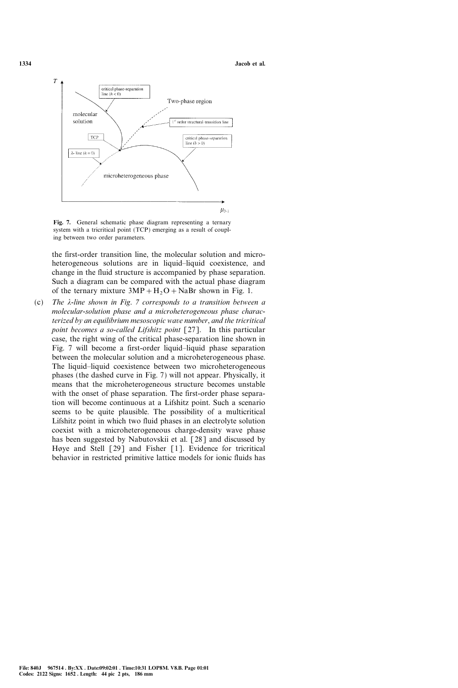

Fig. 7. General schematic phase diagram representing a ternary system with a tricritical point (TCP) emerging as a result of coupling between two order parameters.

the first-order transition line, the molecular solution and microheterogeneous solutions are in liquid-liquid coexistence, and change in the fluid structure is accompanied by phase separation. Such a diagram can be compared with the actual phase diagram of the ternary mixture  $3MP + H_2O + NaBr$  shown in Fig. 1.

(c) The  $\lambda$ -line shown in Fig. 7 corresponds to a transition between a molecular-solution phase and a microheterogeneous phase characterized by an equilibrium mesoscopic wave number, and the tricritical point becomes a so-called Lifshitz point [27]. In this particular case, the right wing of the critical phase-separation line shown in Fig. 7 will become a first-order liquid-liquid phase separation between the molecular solution and a microheterogeneous phase. The liquid-liquid coexistence between two microheterogeneous phases (the dashed curve in Fig. 7) will not appear. Physically, it means that the microheterogeneous structure becomes unstable with the onset of phase separation. The first-order phase separation will become continuous at a Lifshitz point. Such a scenario seems to be quite plausible. The possibility of a multicritical Lifshitz point in which two fluid phases in an electrolyte solution coexist with a microheterogeneous charge-density wave phase has been suggested by Nabutovskii et al. [28] and discussed by Høye and Stell  $\lceil 29 \rceil$  and Fisher  $\lceil 1 \rceil$ . Evidence for tricritical behavior in restricted primitive lattice models for ionic fluids has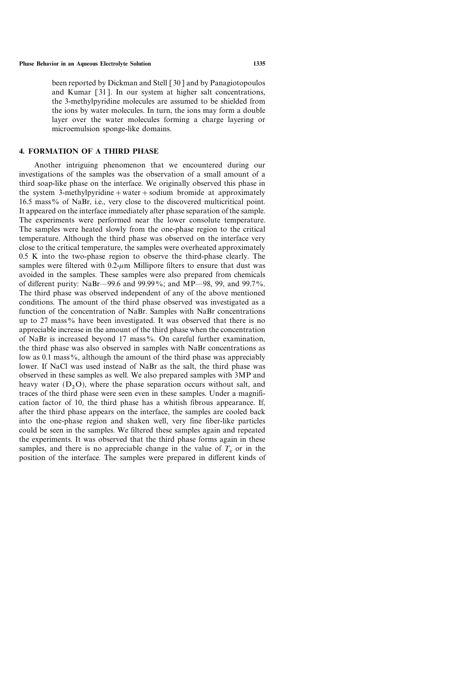been reported by Dickman and Stell [30] and by Panagiotopoulos and Kumar [31]. In our system at higher salt concentrations, the 3-methylpyridine molecules are assumed to be shielded from the ions by water molecules. In turn, the ions may form a double layer over the water molecules forming a charge layering or microemulsion sponge-like domains.

# 4. FORMATION OF A THIRD PHASE

Another intriguing phenomenon that we encountered during our investigations of the samples was the observation of a small amount of a third soap-like phase on the interface. We originally observed this phase in the system 3-methylpyridine  $+$  water  $+$  sodium bromide at approximately 16.5 mass% of NaBr, i.e., very close to the discovered multicritical point. It appeared on the interface immediately after phase separation of the sample. The experiments were performed near the lower consolute temperature. The samples were heated slowly from the one-phase region to the critical temperature. Although the third phase was observed on the interface very close to the critical temperature, the samples were overheated approximately 0.5 K into the two-phase region to observe the third-phase clearly. The samples were filtered with  $0.2-\mu$ m Millipore filters to ensure that dust was avoided in the samples. These samples were also prepared from chemicals of different purity: NaBr—99.6 and 99.99%; and MP—98, 99, and 99.7%. The third phase was observed independent of any of the above mentioned conditions. The amount of the third phase observed was investigated as a function of the concentration of NaBr. Samples with NaBr concentrations up to 27 mass% have been investigated. It was observed that there is no appreciable increase in the amount of the third phase when the concentration of NaBr is increased beyond 17 mass%. On careful further examination, the third phase was also observed in samples with NaBr concentrations as low as  $0.\overline{1}$  mass%, although the amount of the third phase was appreciably lower. If NaCl was used instead of NaBr as the salt, the third phase was observed in these samples as well. We also prepared samples with 3MP and heavy water  $(D<sub>2</sub>O)$ , where the phase separation occurs without salt, and traces of the third phase were seen even in these samples. Under a magnification factor of 10, the third phase has a whitish fibrous appearance. If, after the third phase appears on the interface, the samples are cooled back into the one-phase region and shaken well, very fine fiber-like particles could be seen in the samples. We filtered these samples again and repeated the experiments. It was observed that the third phase forms again in these samples, and there is no appreciable change in the value of  $T_c$  or in the position of the interface. The samples were prepared in different kinds of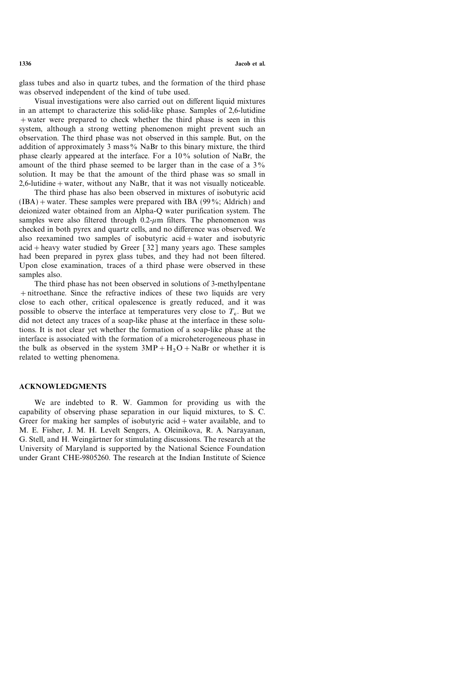glass tubes and also in quartz tubes, and the formation of the third phase was observed independent of the kind of tube used.

Visual investigations were also carried out on different liquid mixtures in an attempt to characterize this solid-like phase. Samples of 2,6-lutidine +water were prepared to check whether the third phase is seen in this system, although a strong wetting phenomenon might prevent such an observation. The third phase was not observed in this sample. But, on the addition of approximately 3 mass% NaBr to this binary mixture, the third phase clearly appeared at the interface. For a  $10\%$  solution of NaBr, the amount of the third phase seemed to be larger than in the case of a  $3\%$ solution. It may be that the amount of the third phase was so small in  $2,6$ -lutidine + water, without any NaBr, that it was not visually noticeable.

The third phase has also been observed in mixtures of isobutyric acid  $(IBA)$  + water. These samples were prepared with IBA (99%; Aldrich) and deionized water obtained from an Alpha-Q water purification system. The samples were also filtered through  $0.2$ - $\mu$ m filters. The phenomenon was checked in both pyrex and quartz cells, and no difference was observed. We also reexamined two samples of isobutyric acid+water and isobutyric  $acid + heavy$  water studied by Greer [32] many years ago. These samples had been prepared in pyrex glass tubes, and they had not been filtered. Upon close examination, traces of a third phase were observed in these samples also.

The third phase has not been observed in solutions of 3-methylpentane +nitroethane. Since the refractive indices of these two liquids are very close to each other, critical opalescence is greatly reduced, and it was possible to observe the interface at temperatures very close to  $T_c$ . But we did not detect any traces of a soap-like phase at the interface in these solutions. It is not clear yet whether the formation of a soap-like phase at the interface is associated with the formation of a microheterogeneous phase in the bulk as observed in the system  $3MP + H_2O + NaBr$  or whether it is related to wetting phenomena.

## ACKNOWLEDGMENTS

We are indebted to R. W. Gammon for providing us with the capability of observing phase separation in our liquid mixtures, to S. C. Greer for making her samples of isobutyric acid  $+$  water available, and to M. E. Fisher, J. M. H. Levelt Sengers, A. Oleinikova, R. A. Narayanan, G. Stell, and H. Weingärtner for stimulating discussions. The research at the University of Maryland is supported by the National Science Foundation under Grant CHE-9805260. The research at the Indian Institute of Science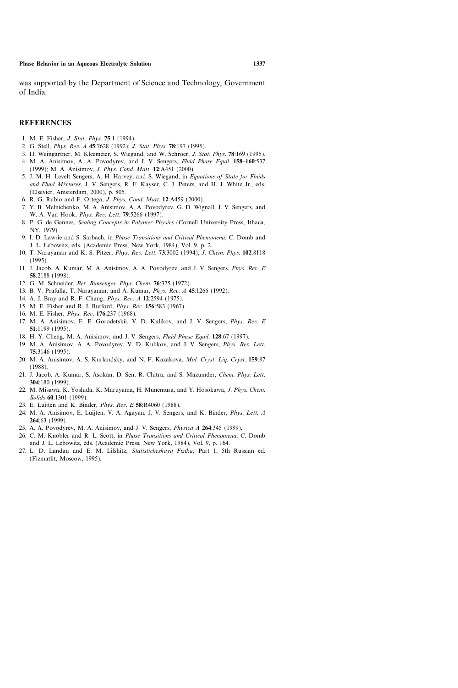was supported by the Department of Science and Technology, Government of India.

#### REFERENCES

- 1. M. E. Fisher, J. Stat. Phys. 75:1 (1994).
- 2. G. Stell, Phys. Rev. A 45:7628 (1992); J. Stat. Phys. 78:197 (1995).
- 3. H. Weingärtner, M. Kleemeier, S. Wiegand, and W. Schröer, J. Stat. Phys. 78:169 (1995).
- 4. M. A. Anisimov, A. A. Povodyrev, and J. V. Sengers, Fluid Phase Equil. 158-160:537 (1999); M. A. Anisimov, J. Phys. Cond. Matt. 12:A451 (2000).
- 5. J. M. H. Levelt Sengers, A. H. Harvey, and S. Wiegand, in Equations of State for Fluids and Fluid Mixtures, J. V. Sengers, R. F. Kayser, C. J. Peters, and H. J. White Jr., eds. (Elsevier, Amsterdam, 2000), p. 805.
- 6. R. G. Rubío and F. Ortega, J. Phys. Cond. Matt. 12:A459 (2000).
- 7. Y. B. Melnichenko, M. A. Anisimov, A. A. Povodyrev, G. D. Wignall, J. V. Sengers, and W. A. Van Hook, Phys. Rev. Lett. 79:5266 (1997).
- 8. P. G. de Gennes, Scaling Concepts in Polymer Physics (Cornell University Press, Ithaca, NY, 1979).
- 9. I. D. Lawrie and S. Sarbach, in Phase Transitions and Critical Phenomena, C. Domb and J. L. Lebowitz, eds. (Academic Press, New York, 1984), Vol. 9, p. 2.
- 10. T. Narayanan and K. S. Pitzer, Phys. Rev. Lett. 73:3002 (1994); J. Chem. Phys. 102:8118 (1995).
- 11. J. Jacob, A. Kumar, M. A. Anisimov, A. A. Povodyrev, and J. V. Sengers, Phys. Rev. E 58:2188 (1998).
- 12. G. M. Schneider, Ber. Bunsenges. Phys. Chem. 76:325 (1972).
- 13. B. V. Prafulla, T. Narayanan, and A. Kumar, Phys. Rev. A 45:1266 (1992).
- 14. A. J. Bray and R. F. Chang, Phys. Rev. A 12:2594 (1975).
- 15. M. E. Fisher and R. J. Burford, Phys. Rev. 156:583 (1967).
- 16. M. E. Fisher, Phys. Rev. 176:237 (1968).
- 17. M. A. Anisimov, E. E. Gorodetskii, V. D. Kulikov, and J. V. Sengers, Phys. Rev. E 51:1199 (1995).
- 18. H. Y. Cheng, M. A. Anisimov, and J. V. Sengers, *Fluid Phase Equil.* 128:67 (1997).
- 19. M. A. Anisimov, A. A. Povodyrev, V. D. Kulikov, and J. V. Sengers, Phys. Rev. Lett. 75:3146 (1995).
- 20. M. A. Anisimov, A. S. Kurlandsky, and N. F. Kazakova, *Mol. Cryst. Liq. Cryst.* 159:87 (1988).
- 21. J. Jacob, A. Kumar, S. Asokan, D. Sen, R. Chitra, and S. Mazumder, Chem. Phys. Lett. 304:180 (1999).
- 22. M. Misawa, K. Yoshida, K. Maruyama, H. Munemura, and Y. Hosokawa, J. Phys. Chem. Solids 60:1301 (1999).
- 23. E. Luijten and K. Binder, *Phys. Rev. E* 58:R4060 (1988).
- 24. M. A. Anisimov, E. Luijten, V. A. Agayan, J. V. Sengers, and K. Binder, Phys. Lett. A 264:63 (1999).
- 25. A. A. Povodyrev, M. A. Anisimov, and J. V. Sengers, Physica A 264:345 (1999).
- 26. C. M. Knobler and R. L. Scott, in Phase Transitions and Critical Phenomena, C. Domb and J. L. Lebowitz, eds. (Academic Press, New York, 1984), Vol. 9, p. 164.
- 27. L. D. Landau and E. M. Lifshitz, Statisticheskaya Fizika, Part 1, 5th Russian ed. (Fizmatlit, Moscow, 1995).